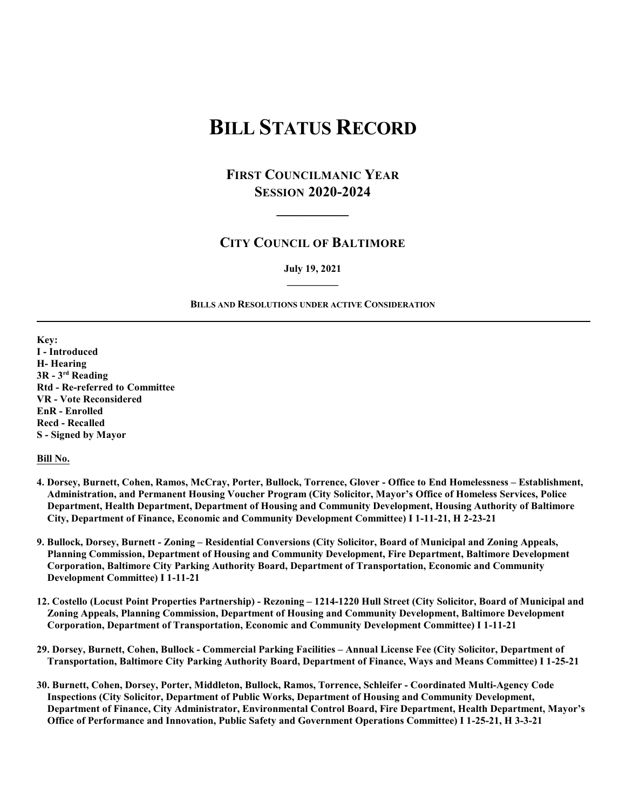# **BILL STATUS RECORD**

## **FIRST COUNCILMANIC YEAR SESSION 2020-2024**

**\_\_\_\_\_\_\_\_\_\_**

### **CITY COUNCIL OF BALTIMORE**

#### **July 19, 2021 \_\_\_\_\_\_\_\_\_\_**

#### **BILLS AND RESOLUTIONS UNDER ACTIVE CONSIDERATION**

**Key: I - Introduced H- Hearing 3R - 3rd Reading Rtd - Re-referred to Committee VR - Vote Reconsidered EnR - Enrolled Recd - Recalled S - Signed by Mayor**

**Bill No.**

- **4. Dorsey, Burnett, Cohen, Ramos, McCray, Porter, Bullock, Torrence, Glover Office to End Homelessness Establishment, Administration, and Permanent Housing Voucher Program (City Solicitor, Mayor's Office of Homeless Services, Police Department, Health Department, Department of Housing and Community Development, Housing Authority of Baltimore City, Department of Finance, Economic and Community Development Committee) I 1-11-21, H 2-23-21**
- **9. Bullock, Dorsey, Burnett Zoning Residential Conversions (City Solicitor, Board of Municipal and Zoning Appeals, Planning Commission, Department of Housing and Community Development, Fire Department, Baltimore Development Corporation, Baltimore City Parking Authority Board, Department of Transportation, Economic and Community Development Committee) I 1-11-21**
- **12. Costello (Locust Point Properties Partnership) Rezoning 1214-1220 Hull Street (City Solicitor, Board of Municipal and Zoning Appeals, Planning Commission, Department of Housing and Community Development, Baltimore Development Corporation, Department of Transportation, Economic and Community Development Committee) I 1-11-21**
- **29. Dorsey, Burnett, Cohen, Bullock Commercial Parking Facilities Annual License Fee (City Solicitor, Department of Transportation, Baltimore City Parking Authority Board, Department of Finance, Ways and Means Committee) I 1-25-21**
- **30. Burnett, Cohen, Dorsey, Porter, Middleton, Bullock, Ramos, Torrence, Schleifer Coordinated Multi-Agency Code Inspections (City Solicitor, Department of Public Works, Department of Housing and Community Development, Department of Finance, City Administrator, Environmental Control Board, Fire Department, Health Department, Mayor's Office of Performance and Innovation, Public Safety and Government Operations Committee) I 1-25-21, H 3-3-21**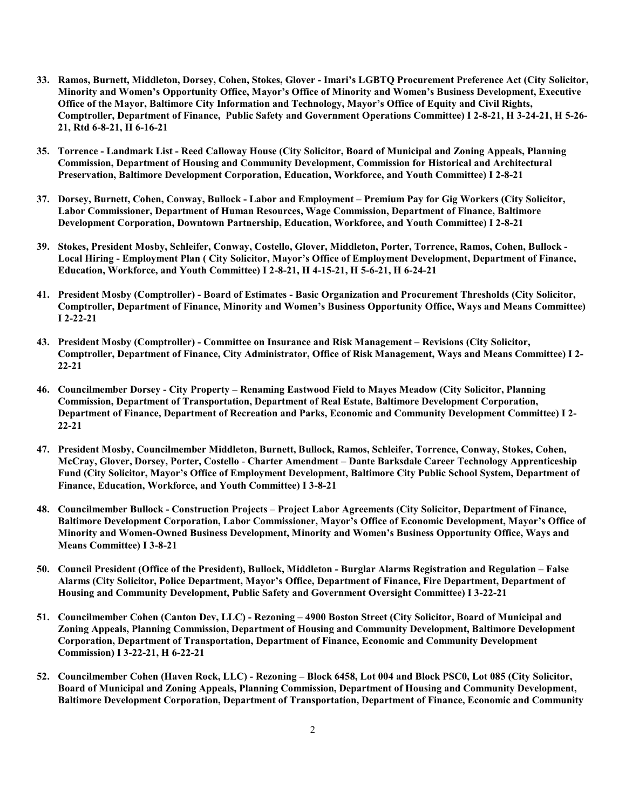- **33. Ramos, Burnett, Middleton, Dorsey, Cohen, Stokes, Glover Imari's LGBTQ Procurement Preference Act (City Solicitor, Minority and Women's Opportunity Office, Mayor's Office of Minority and Women's Business Development, Executive Office of the Mayor, Baltimore City Information and Technology, Mayor's Office of Equity and Civil Rights, Comptroller, Department of Finance, Public Safety and Government Operations Committee) I 2-8-21, H 3-24-21, H 5-26- 21, Rtd 6-8-21, H 6-16-21**
- **35. Torrence Landmark List Reed Calloway House (City Solicitor, Board of Municipal and Zoning Appeals, Planning Commission, Department of Housing and Community Development, Commission for Historical and Architectural Preservation, Baltimore Development Corporation, Education, Workforce, and Youth Committee) I 2-8-21**
- **37. Dorsey, Burnett, Cohen, Conway, Bullock Labor and Employment Premium Pay for Gig Workers (City Solicitor, Labor Commissioner, Department of Human Resources, Wage Commission, Department of Finance, Baltimore Development Corporation, Downtown Partnership, Education, Workforce, and Youth Committee) I 2-8-21**
- **39. Stokes, President Mosby, Schleifer, Conway, Costello, Glover, Middleton, Porter, Torrence, Ramos, Cohen, Bullock - Local Hiring - Employment Plan ( City Solicitor, Mayor's Office of Employment Development, Department of Finance, Education, Workforce, and Youth Committee) I 2-8-21, H 4-15-21, H 5-6-21, H 6-24-21**
- **41. President Mosby (Comptroller) Board of Estimates Basic Organization and Procurement Thresholds (City Solicitor, Comptroller, Department of Finance, Minority and Women's Business Opportunity Office, Ways and Means Committee) I 2-22-21**
- **43. President Mosby (Comptroller) Committee on Insurance and Risk Management Revisions (City Solicitor, Comptroller, Department of Finance, City Administrator, Office of Risk Management, Ways and Means Committee) I 2- 22-21**
- **46. Councilmember Dorsey City Property Renaming Eastwood Field to Mayes Meadow (City Solicitor, Planning Commission, Department of Transportation, Department of Real Estate, Baltimore Development Corporation, Department of Finance, Department of Recreation and Parks, Economic and Community Development Committee) I 2- 22-21**
- **47. President Mosby, Councilmember Middleton, Burnett, Bullock, Ramos, Schleifer, Torrence, Conway, Stokes, Cohen, McCray, Glover, Dorsey, Porter, Costello** - **Charter Amendment – Dante Barksdale Career Technology Apprenticeship Fund (City Solicitor, Mayor's Office of Employment Development, Baltimore City Public School System, Department of Finance, Education, Workforce, and Youth Committee) I 3-8-21**
- **48. Councilmember Bullock Construction Projects Project Labor Agreements (City Solicitor, Department of Finance, Baltimore Development Corporation, Labor Commissioner, Mayor's Office of Economic Development, Mayor's Office of Minority and Women-Owned Business Development, Minority and Women's Business Opportunity Office, Ways and Means Committee) I 3-8-21**
- **50. Council President (Office of the President), Bullock, Middleton Burglar Alarms Registration and Regulation False Alarms (City Solicitor, Police Department, Mayor's Office, Department of Finance, Fire Department, Department of Housing and Community Development, Public Safety and Government Oversight Committee) I 3-22-21**
- **51. Councilmember Cohen (Canton Dev, LLC) Rezoning 4900 Boston Street (City Solicitor, Board of Municipal and Zoning Appeals, Planning Commission, Department of Housing and Community Development, Baltimore Development Corporation, Department of Transportation, Department of Finance, Economic and Community Development Commission) I 3-22-21, H 6-22-21**
- **52. Councilmember Cohen (Haven Rock, LLC) Rezoning Block 6458, Lot 004 and Block PSC0, Lot 085 (City Solicitor, Board of Municipal and Zoning Appeals, Planning Commission, Department of Housing and Community Development, Baltimore Development Corporation, Department of Transportation, Department of Finance, Economic and Community**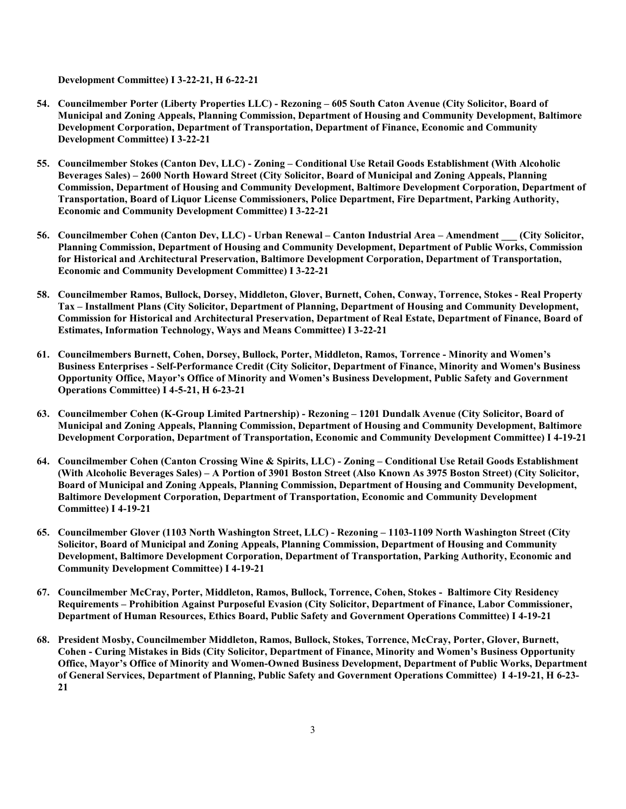**Development Committee) I 3-22-21, H 6-22-21**

- **54. Councilmember Porter (Liberty Properties LLC) Rezoning 605 South Caton Avenue (City Solicitor, Board of Municipal and Zoning Appeals, Planning Commission, Department of Housing and Community Development, Baltimore Development Corporation, Department of Transportation, Department of Finance, Economic and Community Development Committee) I 3-22-21**
- **55. Councilmember Stokes (Canton Dev, LLC) Zoning Conditional Use Retail Goods Establishment (With Alcoholic Beverages Sales) – 2600 North Howard Street (City Solicitor, Board of Municipal and Zoning Appeals, Planning Commission, Department of Housing and Community Development, Baltimore Development Corporation, Department of Transportation, Board of Liquor License Commissioners, Police Department, Fire Department, Parking Authority, Economic and Community Development Committee) I 3-22-21**
- **56. Councilmember Cohen (Canton Dev, LLC) Urban Renewal Canton Industrial Area Amendment \_\_\_ (City Solicitor, Planning Commission, Department of Housing and Community Development, Department of Public Works, Commission for Historical and Architectural Preservation, Baltimore Development Corporation, Department of Transportation, Economic and Community Development Committee) I 3-22-21**
- **58. Councilmember Ramos, Bullock, Dorsey, Middleton, Glover, Burnett, Cohen, Conway, Torrence, Stokes Real Property Tax – Installment Plans (City Solicitor, Department of Planning, Department of Housing and Community Development, Commission for Historical and Architectural Preservation, Department of Real Estate, Department of Finance, Board of Estimates, Information Technology, Ways and Means Committee) I 3-22-21**
- **61. Councilmembers Burnett, Cohen, Dorsey, Bullock, Porter, Middleton, Ramos, Torrence Minority and Women's Business Enterprises - Self-Performance Credit (City Solicitor, Department of Finance, Minority and Women's Business Opportunity Office, Mayor's Office of Minority and Women's Business Development, Public Safety and Government Operations Committee) I 4-5-21, H 6-23-21**
- **63. Councilmember Cohen (K-Group Limited Partnership) Rezoning 1201 Dundalk Avenue (City Solicitor, Board of Municipal and Zoning Appeals, Planning Commission, Department of Housing and Community Development, Baltimore Development Corporation, Department of Transportation, Economic and Community Development Committee) I 4-19-21**
- **64. Councilmember Cohen (Canton Crossing Wine & Spirits, LLC) Zoning Conditional Use Retail Goods Establishment (With Alcoholic Beverages Sales) – A Portion of 3901 Boston Street (Also Known As 3975 Boston Street) (City Solicitor, Board of Municipal and Zoning Appeals, Planning Commission, Department of Housing and Community Development, Baltimore Development Corporation, Department of Transportation, Economic and Community Development Committee) I 4-19-21**
- **65. Councilmember Glover (1103 North Washington Street, LLC) Rezoning 1103-1109 North Washington Street (City Solicitor, Board of Municipal and Zoning Appeals, Planning Commission, Department of Housing and Community Development, Baltimore Development Corporation, Department of Transportation, Parking Authority, Economic and Community Development Committee) I 4-19-21**
- **67. Councilmember McCray, Porter, Middleton, Ramos, Bullock, Torrence, Cohen, Stokes Baltimore City Residency Requirements – Prohibition Against Purposeful Evasion (City Solicitor, Department of Finance, Labor Commissioner, Department of Human Resources, Ethics Board, Public Safety and Government Operations Committee) I 4-19-21**
- **68. President Mosby, Councilmember Middleton, Ramos, Bullock, Stokes, Torrence, McCray, Porter, Glover, Burnett, Cohen - Curing Mistakes in Bids (City Solicitor, Department of Finance, Minority and Women's Business Opportunity Office, Mayor's Office of Minority and Women-Owned Business Development, Department of Public Works, Department of General Services, Department of Planning, Public Safety and Government Operations Committee) I 4-19-21, H 6-23- 21**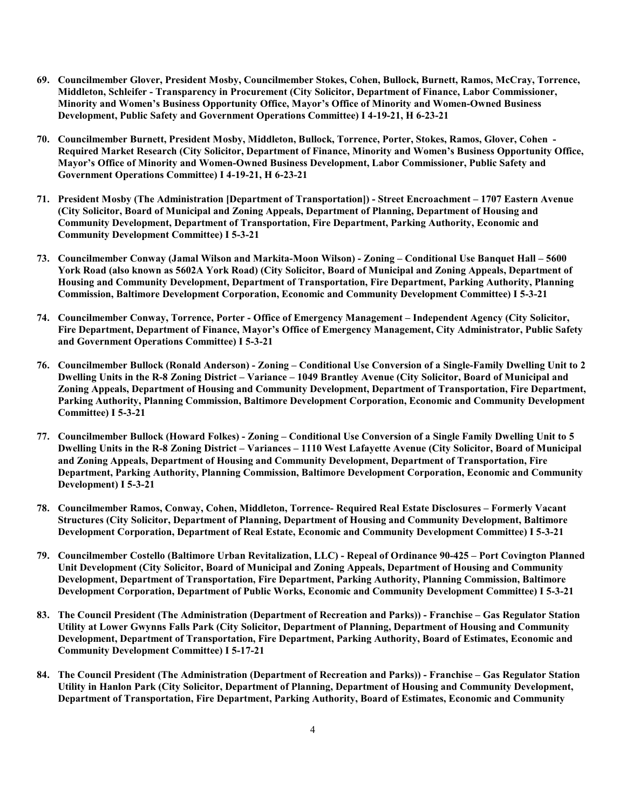- **69. Councilmember Glover, President Mosby, Councilmember Stokes, Cohen, Bullock, Burnett, Ramos, McCray, Torrence, Middleton, Schleifer - Transparency in Procurement (City Solicitor, Department of Finance, Labor Commissioner, Minority and Women's Business Opportunity Office, Mayor's Office of Minority and Women-Owned Business Development, Public Safety and Government Operations Committee) I 4-19-21, H 6-23-21**
- **70. Councilmember Burnett, President Mosby, Middleton, Bullock, Torrence, Porter, Stokes, Ramos, Glover, Cohen - Required Market Research (City Solicitor, Department of Finance, Minority and Women's Business Opportunity Office, Mayor's Office of Minority and Women-Owned Business Development, Labor Commissioner, Public Safety and Government Operations Committee) I 4-19-21, H 6-23-21**
- **71. President Mosby (The Administration [Department of Transportation]) Street Encroachment 1707 Eastern Avenue (City Solicitor, Board of Municipal and Zoning Appeals, Department of Planning, Department of Housing and Community Development, Department of Transportation, Fire Department, Parking Authority, Economic and Community Development Committee) I 5-3-21**
- **73. Councilmember Conway (Jamal Wilson and Markita-Moon Wilson) Zoning Conditional Use Banquet Hall 5600 York Road (also known as 5602A York Road) (City Solicitor, Board of Municipal and Zoning Appeals, Department of Housing and Community Development, Department of Transportation, Fire Department, Parking Authority, Planning Commission, Baltimore Development Corporation, Economic and Community Development Committee) I 5-3-21**
- **74. Councilmember Conway, Torrence, Porter Office of Emergency Management Independent Agency (City Solicitor, Fire Department, Department of Finance, Mayor's Office of Emergency Management, City Administrator, Public Safety and Government Operations Committee) I 5-3-21**
- **76. Councilmember Bullock (Ronald Anderson) Zoning Conditional Use Conversion of a Single-Family Dwelling Unit to 2 Dwelling Units in the R-8 Zoning District – Variance – 1049 Brantley Avenue (City Solicitor, Board of Municipal and Zoning Appeals, Department of Housing and Community Development, Department of Transportation, Fire Department, Parking Authority, Planning Commission, Baltimore Development Corporation, Economic and Community Development Committee) I 5-3-21**
- **77. Councilmember Bullock (Howard Folkes) Zoning Conditional Use Conversion of a Single Family Dwelling Unit to 5 Dwelling Units in the R-8 Zoning District – Variances – 1110 West Lafayette Avenue (City Solicitor, Board of Municipal and Zoning Appeals, Department of Housing and Community Development, Department of Transportation, Fire Department, Parking Authority, Planning Commission, Baltimore Development Corporation, Economic and Community Development) I 5-3-21**
- **78. Councilmember Ramos, Conway, Cohen, Middleton, Torrence- Required Real Estate Disclosures Formerly Vacant Structures (City Solicitor, Department of Planning, Department of Housing and Community Development, Baltimore Development Corporation, Department of Real Estate, Economic and Community Development Committee) I 5-3-21**
- **79. Councilmember Costello (Baltimore Urban Revitalization, LLC) Repeal of Ordinance 90-425 Port Covington Planned Unit Development (City Solicitor, Board of Municipal and Zoning Appeals, Department of Housing and Community Development, Department of Transportation, Fire Department, Parking Authority, Planning Commission, Baltimore Development Corporation, Department of Public Works, Economic and Community Development Committee) I 5-3-21**
- **83. The Council President (The Administration (Department of Recreation and Parks)) Franchise Gas Regulator Station Utility at Lower Gwynns Falls Park (City Solicitor, Department of Planning, Department of Housing and Community Development, Department of Transportation, Fire Department, Parking Authority, Board of Estimates, Economic and Community Development Committee) I 5-17-21**
- **84. The Council President (The Administration (Department of Recreation and Parks)) Franchise Gas Regulator Station Utility in Hanlon Park (City Solicitor, Department of Planning, Department of Housing and Community Development, Department of Transportation, Fire Department, Parking Authority, Board of Estimates, Economic and Community**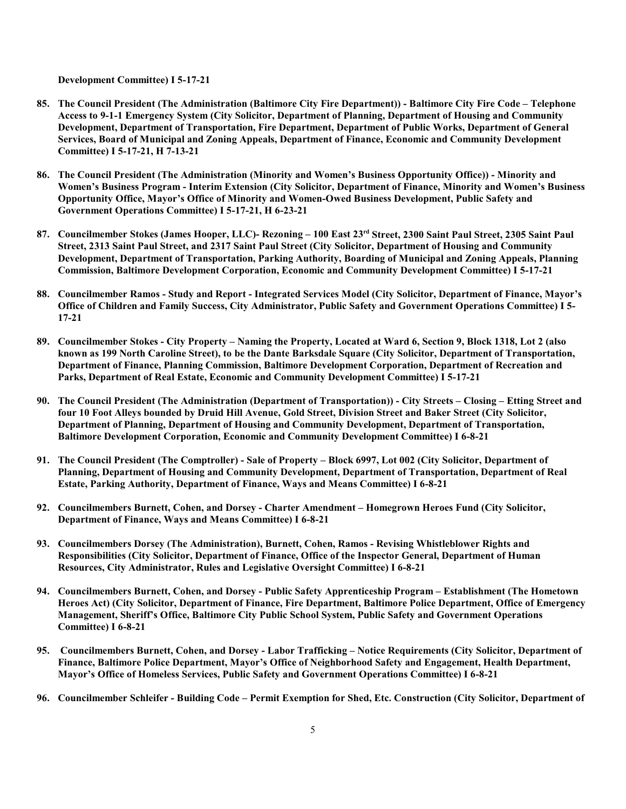**Development Committee) I 5-17-21**

- **85. The Council President (The Administration (Baltimore City Fire Department)) Baltimore City Fire Code Telephone Access to 9-1-1 Emergency System (City Solicitor, Department of Planning, Department of Housing and Community Development, Department of Transportation, Fire Department, Department of Public Works, Department of General Services, Board of Municipal and Zoning Appeals, Department of Finance, Economic and Community Development Committee) I 5-17-21, H 7-13-21**
- **86. The Council President (The Administration (Minority and Women's Business Opportunity Office)) Minority and Women's Business Program - Interim Extension (City Solicitor, Department of Finance, Minority and Women's Business Opportunity Office, Mayor's Office of Minority and Women-Owed Business Development, Public Safety and Government Operations Committee) I 5-17-21, H 6-23-21**
- **87. Councilmember Stokes (James Hooper, LLC)- Rezoning 100 East 23 rd Street, 2300 Saint Paul Street, 2305 Saint Paul Street, 2313 Saint Paul Street, and 2317 Saint Paul Street (City Solicitor, Department of Housing and Community Development, Department of Transportation, Parking Authority, Boarding of Municipal and Zoning Appeals, Planning Commission, Baltimore Development Corporation, Economic and Community Development Committee) I 5-17-21**
- **88. Councilmember Ramos Study and Report Integrated Services Model (City Solicitor, Department of Finance, Mayor's Office of Children and Family Success, City Administrator, Public Safety and Government Operations Committee) I 5- 17-21**
- **89. Councilmember Stokes City Property Naming the Property, Located at Ward 6, Section 9, Block 1318, Lot 2 (also known as 199 North Caroline Street), to be the Dante Barksdale Square (City Solicitor, Department of Transportation, Department of Finance, Planning Commission, Baltimore Development Corporation, Department of Recreation and Parks, Department of Real Estate, Economic and Community Development Committee) I 5-17-21**
- **90. The Council President (The Administration (Department of Transportation)) City Streets Closing Etting Street and four 10 Foot Alleys bounded by Druid Hill Avenue, Gold Street, Division Street and Baker Street (City Solicitor, Department of Planning, Department of Housing and Community Development, Department of Transportation, Baltimore Development Corporation, Economic and Community Development Committee) I 6-8-21**
- **91. The Council President (The Comptroller) Sale of Property Block 6997, Lot 002 (City Solicitor, Department of Planning, Department of Housing and Community Development, Department of Transportation, Department of Real Estate, Parking Authority, Department of Finance, Ways and Means Committee) I 6-8-21**
- **92. Councilmembers Burnett, Cohen, and Dorsey Charter Amendment Homegrown Heroes Fund (City Solicitor, Department of Finance, Ways and Means Committee) I 6-8-21**
- **93. Councilmembers Dorsey (The Administration), Burnett, Cohen, Ramos Revising Whistleblower Rights and Responsibilities (City Solicitor, Department of Finance, Office of the Inspector General, Department of Human Resources, City Administrator, Rules and Legislative Oversight Committee) I 6-8-21**
- **94. Councilmembers Burnett, Cohen, and Dorsey Public Safety Apprenticeship Program Establishment (The Hometown Heroes Act) (City Solicitor, Department of Finance, Fire Department, Baltimore Police Department, Office of Emergency Management, Sheriff's Office, Baltimore City Public School System, Public Safety and Government Operations Committee) I 6-8-21**
- **95. Councilmembers Burnett, Cohen, and Dorsey Labor Trafficking Notice Requirements (City Solicitor, Department of Finance, Baltimore Police Department, Mayor's Office of Neighborhood Safety and Engagement, Health Department, Mayor's Office of Homeless Services, Public Safety and Government Operations Committee) I 6-8-21**
- **96. Councilmember Schleifer Building Code Permit Exemption for Shed, Etc. Construction (City Solicitor, Department of**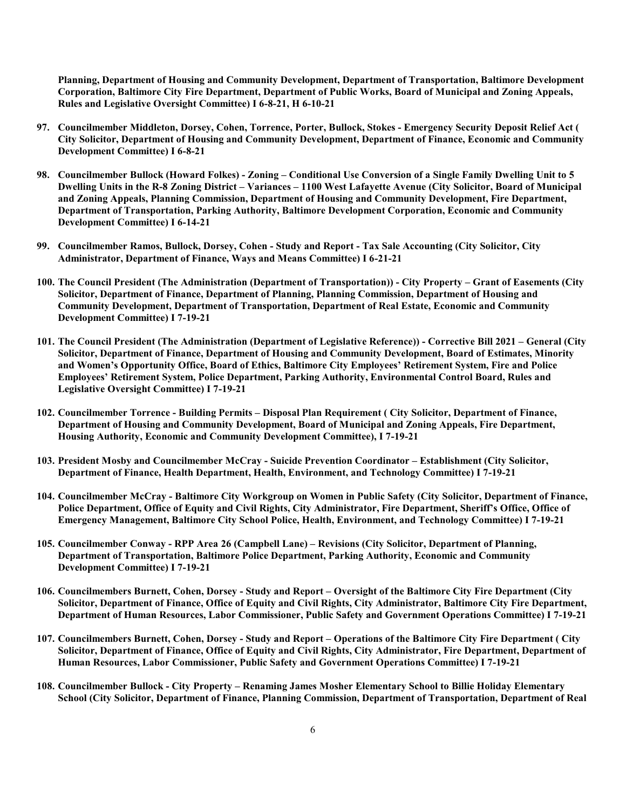**Planning, Department of Housing and Community Development, Department of Transportation, Baltimore Development Corporation, Baltimore City Fire Department, Department of Public Works, Board of Municipal and Zoning Appeals, Rules and Legislative Oversight Committee) I 6-8-21, H 6-10-21**

- **97. Councilmember Middleton, Dorsey, Cohen, Torrence, Porter, Bullock, Stokes Emergency Security Deposit Relief Act ( City Solicitor, Department of Housing and Community Development, Department of Finance, Economic and Community Development Committee) I 6-8-21**
- **98. Councilmember Bullock (Howard Folkes) Zoning Conditional Use Conversion of a Single Family Dwelling Unit to 5 Dwelling Units in the R-8 Zoning District – Variances – 1100 West Lafayette Avenue (City Solicitor, Board of Municipal and Zoning Appeals, Planning Commission, Department of Housing and Community Development, Fire Department, Department of Transportation, Parking Authority, Baltimore Development Corporation, Economic and Community Development Committee) I 6-14-21**
- **99. Councilmember Ramos, Bullock, Dorsey, Cohen Study and Report Tax Sale Accounting (City Solicitor, City Administrator, Department of Finance, Ways and Means Committee) I 6-21-21**
- **100. The Council President (The Administration (Department of Transportation)) City Property Grant of Easements (City Solicitor, Department of Finance, Department of Planning, Planning Commission, Department of Housing and Community Development, Department of Transportation, Department of Real Estate, Economic and Community Development Committee) I 7-19-21**
- **101. The Council President (The Administration (Department of Legislative Reference)) Corrective Bill 2021 General (City Solicitor, Department of Finance, Department of Housing and Community Development, Board of Estimates, Minority and Women's Opportunity Office, Board of Ethics, Baltimore City Employees' Retirement System, Fire and Police Employees' Retirement System, Police Department, Parking Authority, Environmental Control Board, Rules and Legislative Oversight Committee) I 7-19-21**
- **102. Councilmember Torrence Building Permits Disposal Plan Requirement ( City Solicitor, Department of Finance, Department of Housing and Community Development, Board of Municipal and Zoning Appeals, Fire Department, Housing Authority, Economic and Community Development Committee), I 7-19-21**
- **103. President Mosby and Councilmember McCray Suicide Prevention Coordinator Establishment (City Solicitor, Department of Finance, Health Department, Health, Environment, and Technology Committee) I 7-19-21**
- **104. Councilmember McCray Baltimore City Workgroup on Women in Public Safety (City Solicitor, Department of Finance, Police Department, Office of Equity and Civil Rights, City Administrator, Fire Department, Sheriff's Office, Office of Emergency Management, Baltimore City School Police, Health, Environment, and Technology Committee) I 7-19-21**
- **105. Councilmember Conway RPP Area 26 (Campbell Lane) Revisions (City Solicitor, Department of Planning, Department of Transportation, Baltimore Police Department, Parking Authority, Economic and Community Development Committee) I 7-19-21**
- **106. Councilmembers Burnett, Cohen, Dorsey Study and Report Oversight of the Baltimore City Fire Department (City Solicitor, Department of Finance, Office of Equity and Civil Rights, City Administrator, Baltimore City Fire Department, Department of Human Resources, Labor Commissioner, Public Safety and Government Operations Committee) I 7-19-21**
- **107. Councilmembers Burnett, Cohen, Dorsey Study and Report Operations of the Baltimore City Fire Department ( City Solicitor, Department of Finance, Office of Equity and Civil Rights, City Administrator, Fire Department, Department of Human Resources, Labor Commissioner, Public Safety and Government Operations Committee) I 7-19-21**
- **108. Councilmember Bullock City Property Renaming James Mosher Elementary School to Billie Holiday Elementary School (City Solicitor, Department of Finance, Planning Commission, Department of Transportation, Department of Real**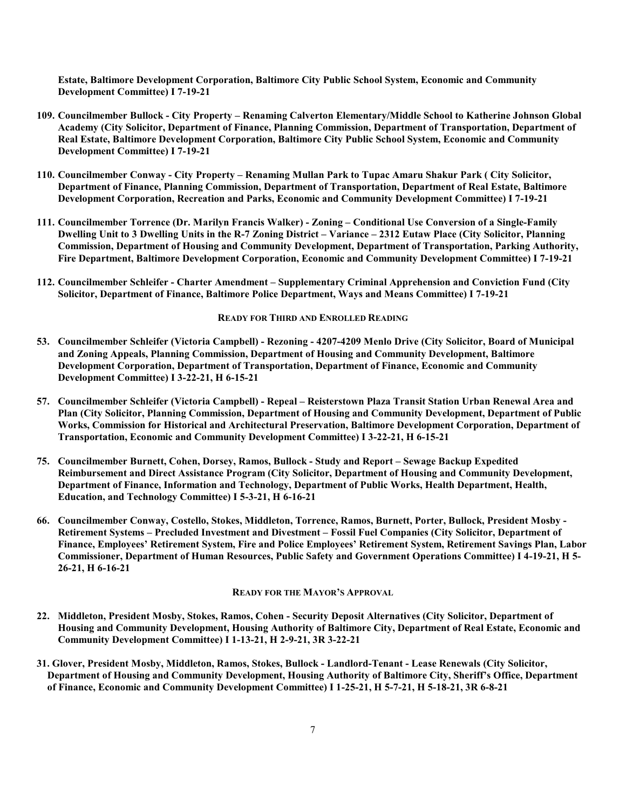**Estate, Baltimore Development Corporation, Baltimore City Public School System, Economic and Community Development Committee) I 7-19-21**

- **109. Councilmember Bullock City Property Renaming Calverton Elementary/Middle School to Katherine Johnson Global Academy (City Solicitor, Department of Finance, Planning Commission, Department of Transportation, Department of Real Estate, Baltimore Development Corporation, Baltimore City Public School System, Economic and Community Development Committee) I 7-19-21**
- **110. Councilmember Conway City Property Renaming Mullan Park to Tupac Amaru Shakur Park ( City Solicitor, Department of Finance, Planning Commission, Department of Transportation, Department of Real Estate, Baltimore Development Corporation, Recreation and Parks, Economic and Community Development Committee) I 7-19-21**
- **111. Councilmember Torrence (Dr. Marilyn Francis Walker) Zoning Conditional Use Conversion of a Single-Family Dwelling Unit to 3 Dwelling Units in the R-7 Zoning District – Variance – 2312 Eutaw Place (City Solicitor, Planning Commission, Department of Housing and Community Development, Department of Transportation, Parking Authority, Fire Department, Baltimore Development Corporation, Economic and Community Development Committee) I 7-19-21**
- **112. Councilmember Schleifer Charter Amendment Supplementary Criminal Apprehension and Conviction Fund (City Solicitor, Department of Finance, Baltimore Police Department, Ways and Means Committee) I 7-19-21**

#### **READY FOR THIRD AND ENROLLED READING**

- **53. Councilmember Schleifer (Victoria Campbell) Rezoning 4207-4209 Menlo Drive (City Solicitor, Board of Municipal and Zoning Appeals, Planning Commission, Department of Housing and Community Development, Baltimore Development Corporation, Department of Transportation, Department of Finance, Economic and Community Development Committee) I 3-22-21, H 6-15-21**
- **57. Councilmember Schleifer (Victoria Campbell) Repeal Reisterstown Plaza Transit Station Urban Renewal Area and Plan (City Solicitor, Planning Commission, Department of Housing and Community Development, Department of Public Works, Commission for Historical and Architectural Preservation, Baltimore Development Corporation, Department of Transportation, Economic and Community Development Committee) I 3-22-21, H 6-15-21**
- **75. Councilmember Burnett, Cohen, Dorsey, Ramos, Bullock Study and Report Sewage Backup Expedited Reimbursement and Direct Assistance Program (City Solicitor, Department of Housing and Community Development, Department of Finance, Information and Technology, Department of Public Works, Health Department, Health, Education, and Technology Committee) I 5-3-21, H 6-16-21**
- **66. Councilmember Conway, Costello, Stokes, Middleton, Torrence, Ramos, Burnett, Porter, Bullock, President Mosby - Retirement Systems – Precluded Investment and Divestment – Fossil Fuel Companies (City Solicitor, Department of Finance, Employees' Retirement System, Fire and Police Employees' Retirement System, Retirement Savings Plan, Labor Commissioner, Department of Human Resources, Public Safety and Government Operations Committee) I 4-19-21, H 5- 26-21, H 6-16-21**

#### **READY FOR THE MAYOR'S APPROVAL**

- **22. Middleton, President Mosby, Stokes, Ramos, Cohen Security Deposit Alternatives (City Solicitor, Department of Housing and Community Development, Housing Authority of Baltimore City, Department of Real Estate, Economic and Community Development Committee) I 1-13-21, H 2-9-21, 3R 3-22-21**
- **31. Glover, President Mosby, Middleton, Ramos, Stokes, Bullock Landlord-Tenant Lease Renewals (City Solicitor, Department of Housing and Community Development, Housing Authority of Baltimore City, Sheriff's Office, Department of Finance, Economic and Community Development Committee) I 1-25-21, H 5-7-21, H 5-18-21, 3R 6-8-21**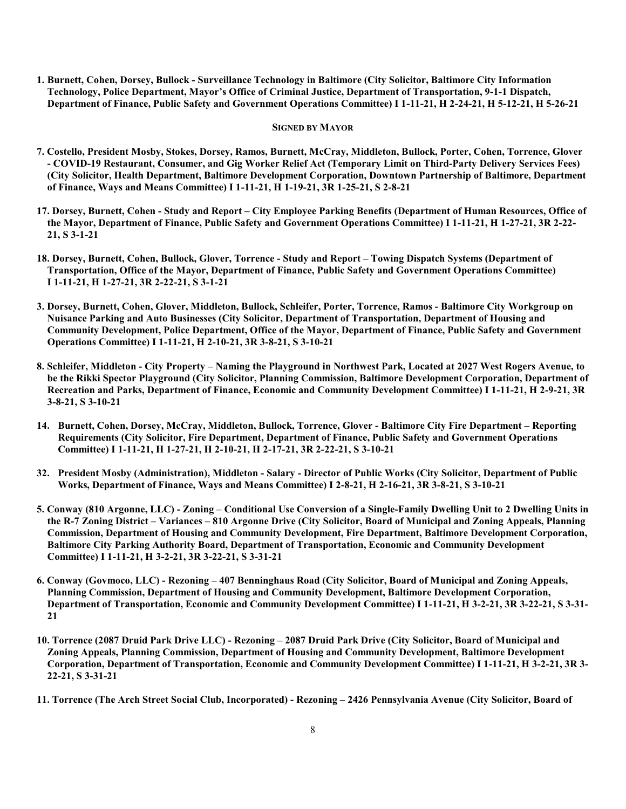**1. Burnett, Cohen, Dorsey, Bullock - Surveillance Technology in Baltimore (City Solicitor, Baltimore City Information Technology, Police Department, Mayor's Office of Criminal Justice, Department of Transportation, 9-1-1 Dispatch, Department of Finance, Public Safety and Government Operations Committee) I 1-11-21, H 2-24-21, H 5-12-21, H 5-26-21**

#### **SIGNED BY MAYOR**

- **7. Costello, President Mosby, Stokes, Dorsey, Ramos, Burnett, McCray, Middleton, Bullock, Porter, Cohen, Torrence, Glover - COVID-19 Restaurant, Consumer, and Gig Worker Relief Act (Temporary Limit on Third-Party Delivery Services Fees) (City Solicitor, Health Department, Baltimore Development Corporation, Downtown Partnership of Baltimore, Department of Finance, Ways and Means Committee) I 1-11-21, H 1-19-21, 3R 1-25-21, S 2-8-21**
- **17. Dorsey, Burnett, Cohen Study and Report City Employee Parking Benefits (Department of Human Resources, Office of the Mayor, Department of Finance, Public Safety and Government Operations Committee) I 1-11-21, H 1-27-21, 3R 2-22- 21, S 3-1-21**
- **18. Dorsey, Burnett, Cohen, Bullock, Glover, Torrence Study and Report Towing Dispatch Systems (Department of Transportation, Office of the Mayor, Department of Finance, Public Safety and Government Operations Committee) I 1-11-21, H 1-27-21, 3R 2-22-21, S 3-1-21**
- **3. Dorsey, Burnett, Cohen, Glover, Middleton, Bullock, Schleifer, Porter, Torrence, Ramos Baltimore City Workgroup on Nuisance Parking and Auto Businesses (City Solicitor, Department of Transportation, Department of Housing and Community Development, Police Department, Office of the Mayor, Department of Finance, Public Safety and Government Operations Committee) I 1-11-21, H 2-10-21, 3R 3-8-21, S 3-10-21**
- **8. Schleifer, Middleton City Property Naming the Playground in Northwest Park, Located at 2027 West Rogers Avenue, to be the Rikki Spector Playground (City Solicitor, Planning Commission, Baltimore Development Corporation, Department of Recreation and Parks, Department of Finance, Economic and Community Development Committee) I 1-11-21, H 2-9-21, 3R 3-8-21, S 3-10-21**
- **14. Burnett, Cohen, Dorsey, McCray, Middleton, Bullock, Torrence, Glover Baltimore City Fire Department Reporting Requirements (City Solicitor, Fire Department, Department of Finance, Public Safety and Government Operations Committee) I 1-11-21, H 1-27-21, H 2-10-21, H 2-17-21, 3R 2-22-21, S 3-10-21**
- **32. President Mosby (Administration), Middleton Salary Director of Public Works (City Solicitor, Department of Public Works, Department of Finance, Ways and Means Committee) I 2-8-21, H 2-16-21, 3R 3-8-21, S 3-10-21**
- **5. Conway (810 Argonne, LLC) Zoning Conditional Use Conversion of a Single-Family Dwelling Unit to 2 Dwelling Units in the R-7 Zoning District – Variances – 810 Argonne Drive (City Solicitor, Board of Municipal and Zoning Appeals, Planning Commission, Department of Housing and Community Development, Fire Department, Baltimore Development Corporation, Baltimore City Parking Authority Board, Department of Transportation, Economic and Community Development Committee) I 1-11-21, H 3-2-21, 3R 3-22-21, S 3-31-21**
- **6. Conway (Govmoco, LLC) Rezoning 407 Benninghaus Road (City Solicitor, Board of Municipal and Zoning Appeals, Planning Commission, Department of Housing and Community Development, Baltimore Development Corporation, Department of Transportation, Economic and Community Development Committee) I 1-11-21, H 3-2-21, 3R 3-22-21, S 3-31- 21**
- **10. Torrence (2087 Druid Park Drive LLC) Rezoning 2087 Druid Park Drive (City Solicitor, Board of Municipal and Zoning Appeals, Planning Commission, Department of Housing and Community Development, Baltimore Development Corporation, Department of Transportation, Economic and Community Development Committee) I 1-11-21, H 3-2-21, 3R 3- 22-21, S 3-31-21**
- **11. Torrence (The Arch Street Social Club, Incorporated) Rezoning 2426 Pennsylvania Avenue (City Solicitor, Board of**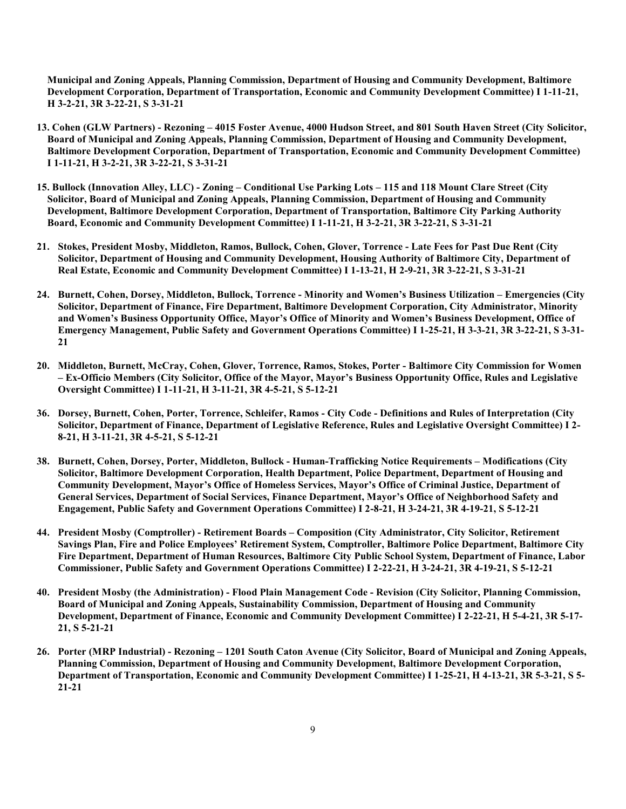**Municipal and Zoning Appeals, Planning Commission, Department of Housing and Community Development, Baltimore Development Corporation, Department of Transportation, Economic and Community Development Committee) I 1-11-21, H 3-2-21, 3R 3-22-21, S 3-31-21**

- **13. Cohen (GLW Partners) Rezoning 4015 Foster Avenue, 4000 Hudson Street, and 801 South Haven Street (City Solicitor, Board of Municipal and Zoning Appeals, Planning Commission, Department of Housing and Community Development, Baltimore Development Corporation, Department of Transportation, Economic and Community Development Committee) I 1-11-21, H 3-2-21, 3R 3-22-21, S 3-31-21**
- **15. Bullock (Innovation Alley, LLC) Zoning Conditional Use Parking Lots 115 and 118 Mount Clare Street (City Solicitor, Board of Municipal and Zoning Appeals, Planning Commission, Department of Housing and Community Development, Baltimore Development Corporation, Department of Transportation, Baltimore City Parking Authority Board, Economic and Community Development Committee) I 1-11-21, H 3-2-21, 3R 3-22-21, S 3-31-21**
- **21. Stokes, President Mosby, Middleton, Ramos, Bullock, Cohen, Glover, Torrence Late Fees for Past Due Rent (City Solicitor, Department of Housing and Community Development, Housing Authority of Baltimore City, Department of Real Estate, Economic and Community Development Committee) I 1-13-21, H 2-9-21, 3R 3-22-21, S 3-31-21**
- **24. Burnett, Cohen, Dorsey, Middleton, Bullock, Torrence Minority and Women's Business Utilization Emergencies (City Solicitor, Department of Finance, Fire Department, Baltimore Development Corporation, City Administrator, Minority and Women's Business Opportunity Office, Mayor's Office of Minority and Women's Business Development, Office of Emergency Management, Public Safety and Government Operations Committee) I 1-25-21, H 3-3-21, 3R 3-22-21, S 3-31- 21**
- **20. Middleton, Burnett, McCray, Cohen, Glover, Torrence, Ramos, Stokes, Porter Baltimore City Commission for Women – Ex-Officio Members (City Solicitor, Office of the Mayor, Mayor's Business Opportunity Office, Rules and Legislative Oversight Committee) I 1-11-21, H 3-11-21, 3R 4-5-21, S 5-12-21**
- **36. Dorsey, Burnett, Cohen, Porter, Torrence, Schleifer, Ramos City Code Definitions and Rules of Interpretation (City Solicitor, Department of Finance, Department of Legislative Reference, Rules and Legislative Oversight Committee) I 2- 8-21, H 3-11-21, 3R 4-5-21, S 5-12-21**
- **38. Burnett, Cohen, Dorsey, Porter, Middleton, Bullock Human-Trafficking Notice Requirements Modifications (City Solicitor, Baltimore Development Corporation, Health Department, Police Department, Department of Housing and Community Development, Mayor's Office of Homeless Services, Mayor's Office of Criminal Justice, Department of General Services, Department of Social Services, Finance Department, Mayor's Office of Neighborhood Safety and Engagement, Public Safety and Government Operations Committee) I 2-8-21, H 3-24-21, 3R 4-19-21, S 5-12-21**
- **44. President Mosby (Comptroller) Retirement Boards Composition (City Administrator, City Solicitor, Retirement Savings Plan, Fire and Police Employees' Retirement System, Comptroller, Baltimore Police Department, Baltimore City Fire Department, Department of Human Resources, Baltimore City Public School System, Department of Finance, Labor Commissioner, Public Safety and Government Operations Committee) I 2-22-21, H 3-24-21, 3R 4-19-21, S 5-12-21**
- **40. President Mosby (the Administration) Flood Plain Management Code Revision (City Solicitor, Planning Commission, Board of Municipal and Zoning Appeals, Sustainability Commission, Department of Housing and Community Development, Department of Finance, Economic and Community Development Committee) I 2-22-21, H 5-4-21, 3R 5-17- 21, S 5-21-21**
- **26. Porter (MRP Industrial) Rezoning 1201 South Caton Avenue (City Solicitor, Board of Municipal and Zoning Appeals, Planning Commission, Department of Housing and Community Development, Baltimore Development Corporation, Department of Transportation, Economic and Community Development Committee) I 1-25-21, H 4-13-21, 3R 5-3-21, S 5- 21-21**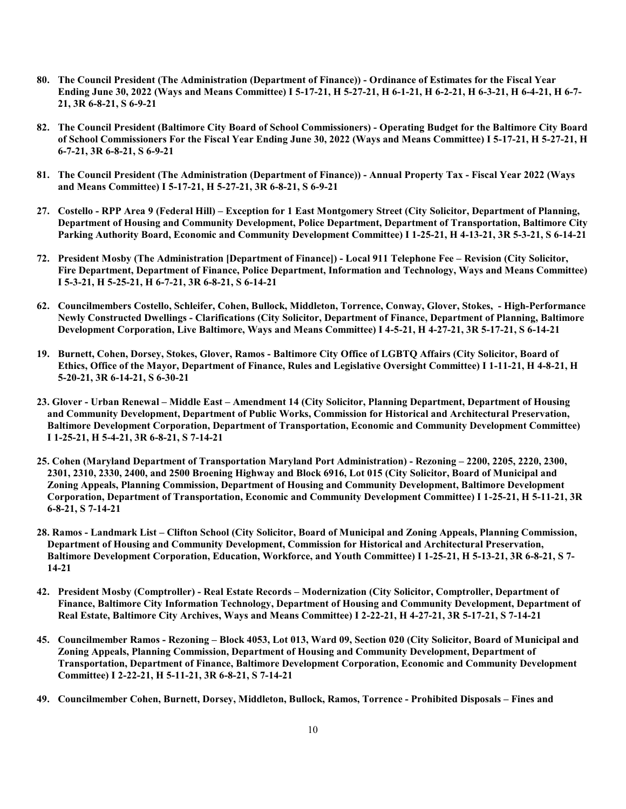- **80. The Council President (The Administration (Department of Finance)) Ordinance of Estimates for the Fiscal Year Ending June 30, 2022 (Ways and Means Committee) I 5-17-21, H 5-27-21, H 6-1-21, H 6-2-21, H 6-3-21, H 6-4-21, H 6-7- 21, 3R 6-8-21, S 6-9-21**
- **82. The Council President (Baltimore City Board of School Commissioners) Operating Budget for the Baltimore City Board of School Commissioners For the Fiscal Year Ending June 30, 2022 (Ways and Means Committee) I 5-17-21, H 5-27-21, H 6-7-21, 3R 6-8-21, S 6-9-21**
- **81. The Council President (The Administration (Department of Finance)) Annual Property Tax Fiscal Year 2022 (Ways and Means Committee) I 5-17-21, H 5-27-21, 3R 6-8-21, S 6-9-21**
- **27. Costello RPP Area 9 (Federal Hill) Exception for 1 East Montgomery Street (City Solicitor, Department of Planning, Department of Housing and Community Development, Police Department, Department of Transportation, Baltimore City Parking Authority Board, Economic and Community Development Committee) I 1-25-21, H 4-13-21, 3R 5-3-21, S 6-14-21**
- **72. President Mosby (The Administration [Department of Finance]) Local 911 Telephone Fee Revision (City Solicitor, Fire Department, Department of Finance, Police Department, Information and Technology, Ways and Means Committee) I 5-3-21, H 5-25-21, H 6-7-21, 3R 6-8-21, S 6-14-21**
- **62. Councilmembers Costello, Schleifer, Cohen, Bullock, Middleton, Torrence, Conway, Glover, Stokes, High-Performance Newly Constructed Dwellings - Clarifications (City Solicitor, Department of Finance, Department of Planning, Baltimore Development Corporation, Live Baltimore, Ways and Means Committee) I 4-5-21, H 4-27-21, 3R 5-17-21, S 6-14-21**
- **19. Burnett, Cohen, Dorsey, Stokes, Glover, Ramos Baltimore City Office of LGBTQ Affairs (City Solicitor, Board of Ethics, Office of the Mayor, Department of Finance, Rules and Legislative Oversight Committee) I 1-11-21, H 4-8-21, H 5-20-21, 3R 6-14-21, S 6-30-21**
- **23. Glover Urban Renewal Middle East Amendment 14 (City Solicitor, Planning Department, Department of Housing and Community Development, Department of Public Works, Commission for Historical and Architectural Preservation, Baltimore Development Corporation, Department of Transportation, Economic and Community Development Committee) I 1-25-21, H 5-4-21, 3R 6-8-21, S 7-14-21**
- **25. Cohen (Maryland Department of Transportation Maryland Port Administration) Rezoning 2200, 2205, 2220, 2300, 2301, 2310, 2330, 2400, and 2500 Broening Highway and Block 6916, Lot 015 (City Solicitor, Board of Municipal and Zoning Appeals, Planning Commission, Department of Housing and Community Development, Baltimore Development Corporation, Department of Transportation, Economic and Community Development Committee) I 1-25-21, H 5-11-21, 3R 6-8-21, S 7-14-21**
- **28. Ramos Landmark List Clifton School (City Solicitor, Board of Municipal and Zoning Appeals, Planning Commission, Department of Housing and Community Development, Commission for Historical and Architectural Preservation, Baltimore Development Corporation, Education, Workforce, and Youth Committee) I 1-25-21, H 5-13-21, 3R 6-8-21, S 7- 14-21**
- **42. President Mosby (Comptroller) Real Estate Records Modernization (City Solicitor, Comptroller, Department of Finance, Baltimore City Information Technology, Department of Housing and Community Development, Department of Real Estate, Baltimore City Archives, Ways and Means Committee) I 2-22-21, H 4-27-21, 3R 5-17-21, S 7-14-21**
- **45. Councilmember Ramos Rezoning Block 4053, Lot 013, Ward 09, Section 020 (City Solicitor, Board of Municipal and Zoning Appeals, Planning Commission, Department of Housing and Community Development, Department of Transportation, Department of Finance, Baltimore Development Corporation, Economic and Community Development Committee) I 2-22-21, H 5-11-21, 3R 6-8-21, S 7-14-21**
- **49. Councilmember Cohen, Burnett, Dorsey, Middleton, Bullock, Ramos, Torrence Prohibited Disposals Fines and**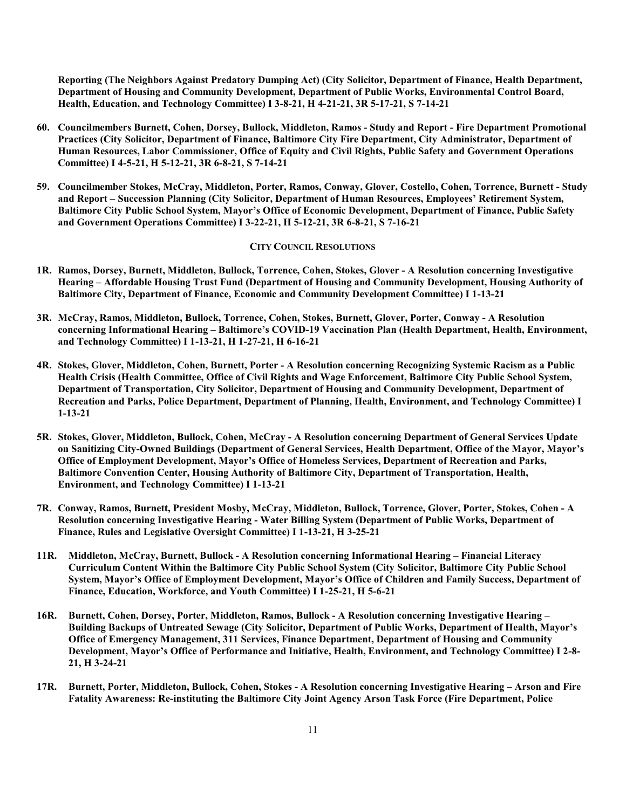**Reporting (The Neighbors Against Predatory Dumping Act) (City Solicitor, Department of Finance, Health Department, Department of Housing and Community Development, Department of Public Works, Environmental Control Board, Health, Education, and Technology Committee) I 3-8-21, H 4-21-21, 3R 5-17-21, S 7-14-21**

- **60. Councilmembers Burnett, Cohen, Dorsey, Bullock, Middleton, Ramos Study and Report Fire Department Promotional Practices (City Solicitor, Department of Finance, Baltimore City Fire Department, City Administrator, Department of Human Resources, Labor Commissioner, Office of Equity and Civil Rights, Public Safety and Government Operations Committee) I 4-5-21, H 5-12-21, 3R 6-8-21, S 7-14-21**
- **59. Councilmember Stokes, McCray, Middleton, Porter, Ramos, Conway, Glover, Costello, Cohen, Torrence, Burnett Study and Report – Succession Planning (City Solicitor, Department of Human Resources, Employees' Retirement System, Baltimore City Public School System, Mayor's Office of Economic Development, Department of Finance, Public Safety and Government Operations Committee) I 3-22-21, H 5-12-21, 3R 6-8-21, S 7-16-21**

#### **CITY COUNCIL RESOLUTIONS**

- **1R. Ramos, Dorsey, Burnett, Middleton, Bullock, Torrence, Cohen, Stokes, Glover A Resolution concerning Investigative Hearing – Affordable Housing Trust Fund (Department of Housing and Community Development, Housing Authority of Baltimore City, Department of Finance, Economic and Community Development Committee) I 1-13-21**
- **3R. McCray, Ramos, Middleton, Bullock, Torrence, Cohen, Stokes, Burnett, Glover, Porter, Conway A Resolution concerning Informational Hearing – Baltimore's COVID-19 Vaccination Plan (Health Department, Health, Environment, and Technology Committee) I 1-13-21, H 1-27-21, H 6-16-21**
- **4R. Stokes, Glover, Middleton, Cohen, Burnett, Porter A Resolution concerning Recognizing Systemic Racism as a Public Health Crisis (Health Committee, Office of Civil Rights and Wage Enforcement, Baltimore City Public School System, Department of Transportation, City Solicitor, Department of Housing and Community Development, Department of Recreation and Parks, Police Department, Department of Planning, Health, Environment, and Technology Committee) I 1-13-21**
- **5R. Stokes, Glover, Middleton, Bullock, Cohen, McCray A Resolution concerning Department of General Services Update on Sanitizing City-Owned Buildings (Department of General Services, Health Department, Office of the Mayor, Mayor's Office of Employment Development, Mayor's Office of Homeless Services, Department of Recreation and Parks, Baltimore Convention Center, Housing Authority of Baltimore City, Department of Transportation, Health, Environment, and Technology Committee) I 1-13-21**
- **7R. Conway, Ramos, Burnett, President Mosby, McCray, Middleton, Bullock, Torrence, Glover, Porter, Stokes, Cohen A Resolution concerning Investigative Hearing - Water Billing System (Department of Public Works, Department of Finance, Rules and Legislative Oversight Committee) I 1-13-21, H 3-25-21**
- **11R. Middleton, McCray, Burnett, Bullock A Resolution concerning Informational Hearing Financial Literacy Curriculum Content Within the Baltimore City Public School System (City Solicitor, Baltimore City Public School System, Mayor's Office of Employment Development, Mayor's Office of Children and Family Success, Department of Finance, Education, Workforce, and Youth Committee) I 1-25-21, H 5-6-21**
- **16R. Burnett, Cohen, Dorsey, Porter, Middleton, Ramos, Bullock A Resolution concerning Investigative Hearing – Building Backups of Untreated Sewage (City Solicitor, Department of Public Works, Department of Health, Mayor's Office of Emergency Management, 311 Services, Finance Department, Department of Housing and Community Development, Mayor's Office of Performance and Initiative, Health, Environment, and Technology Committee) I 2-8- 21, H 3-24-21**
- **17R. Burnett, Porter, Middleton, Bullock, Cohen, Stokes A Resolution concerning Investigative Hearing Arson and Fire Fatality Awareness: Re-instituting the Baltimore City Joint Agency Arson Task Force (Fire Department, Police**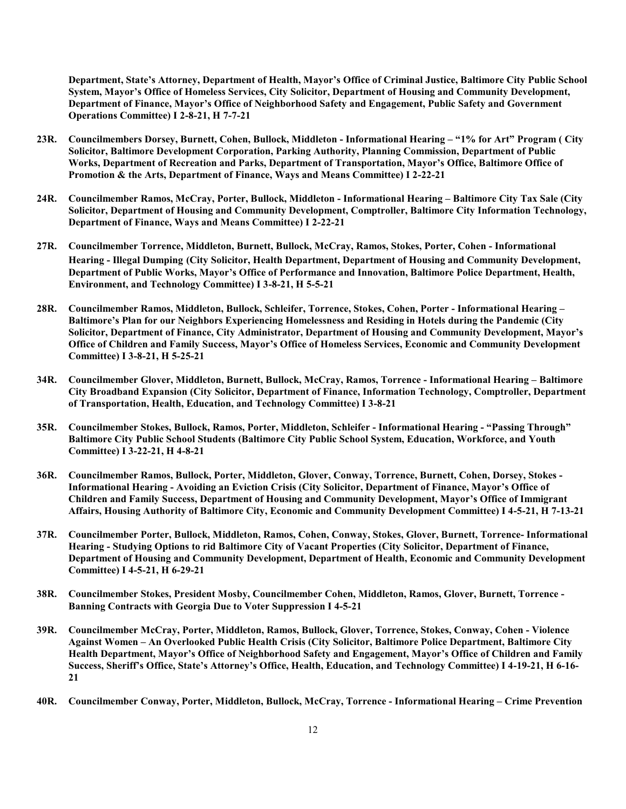**Department, State's Attorney, Department of Health, Mayor's Office of Criminal Justice, Baltimore City Public School System, Mayor's Office of Homeless Services, City Solicitor, Department of Housing and Community Development, Department of Finance, Mayor's Office of Neighborhood Safety and Engagement, Public Safety and Government Operations Committee) I 2-8-21, H 7-7-21**

- **23R. Councilmembers Dorsey, Burnett, Cohen, Bullock, Middleton Informational Hearing "1% for Art" Program ( City Solicitor, Baltimore Development Corporation, Parking Authority, Planning Commission, Department of Public Works, Department of Recreation and Parks, Department of Transportation, Mayor's Office, Baltimore Office of Promotion & the Arts, Department of Finance, Ways and Means Committee) I 2-22-21**
- **24R. Councilmember Ramos, McCray, Porter, Bullock, Middleton Informational Hearing Baltimore City Tax Sale (City Solicitor, Department of Housing and Community Development, Comptroller, Baltimore City Information Technology, Department of Finance, Ways and Means Committee) I 2-22-21**
- **27R. Councilmember Torrence, Middleton, Burnett, Bullock, McCray, Ramos, Stokes, Porter, Cohen Informational Hearing - Illegal Dumping (City Solicitor, Health Department, Department of Housing and Community Development, Department of Public Works, Mayor's Office of Performance and Innovation, Baltimore Police Department, Health, Environment, and Technology Committee) I 3-8-21, H 5-5-21**
- **28R. Councilmember Ramos, Middleton, Bullock, Schleifer, Torrence, Stokes, Cohen, Porter Informational Hearing – Baltimore's Plan for our Neighbors Experiencing Homelessness and Residing in Hotels during the Pandemic (City Solicitor, Department of Finance, City Administrator, Department of Housing and Community Development, Mayor's Office of Children and Family Success, Mayor's Office of Homeless Services, Economic and Community Development Committee) I 3-8-21, H 5-25-21**
- **34R. Councilmember Glover, Middleton, Burnett, Bullock, McCray, Ramos, Torrence Informational Hearing Baltimore City Broadband Expansion (City Solicitor, Department of Finance, Information Technology, Comptroller, Department of Transportation, Health, Education, and Technology Committee) I 3-8-21**
- **35R. Councilmember Stokes, Bullock, Ramos, Porter, Middleton, Schleifer Informational Hearing "Passing Through" Baltimore City Public School Students (Baltimore City Public School System, Education, Workforce, and Youth Committee) I 3-22-21, H 4-8-21**
- **36R. Councilmember Ramos, Bullock, Porter, Middleton, Glover, Conway, Torrence, Burnett, Cohen, Dorsey, Stokes - Informational Hearing - Avoiding an Eviction Crisis (City Solicitor, Department of Finance, Mayor's Office of Children and Family Success, Department of Housing and Community Development, Mayor's Office of Immigrant Affairs, Housing Authority of Baltimore City, Economic and Community Development Committee) I 4-5-21, H 7-13-21**
- **37R. Councilmember Porter, Bullock, Middleton, Ramos, Cohen, Conway, Stokes, Glover, Burnett, Torrence- Informational Hearing - Studying Options to rid Baltimore City of Vacant Properties (City Solicitor, Department of Finance, Department of Housing and Community Development, Department of Health, Economic and Community Development Committee) I 4-5-21, H 6-29-21**
- **38R. Councilmember Stokes, President Mosby, Councilmember Cohen, Middleton, Ramos, Glover, Burnett, Torrence - Banning Contracts with Georgia Due to Voter Suppression I 4-5-21**
- **39R. Councilmember McCray, Porter, Middleton, Ramos, Bullock, Glover, Torrence, Stokes, Conway, Cohen Violence Against Women – An Overlooked Public Health Crisis (City Solicitor, Baltimore Police Department, Baltimore City Health Department, Mayor's Office of Neighborhood Safety and Engagement, Mayor's Office of Children and Family Success, Sheriff's Office, State's Attorney's Office, Health, Education, and Technology Committee) I 4-19-21, H 6-16- 21**
- **40R. Councilmember Conway, Porter, Middleton, Bullock, McCray, Torrence Informational Hearing Crime Prevention**